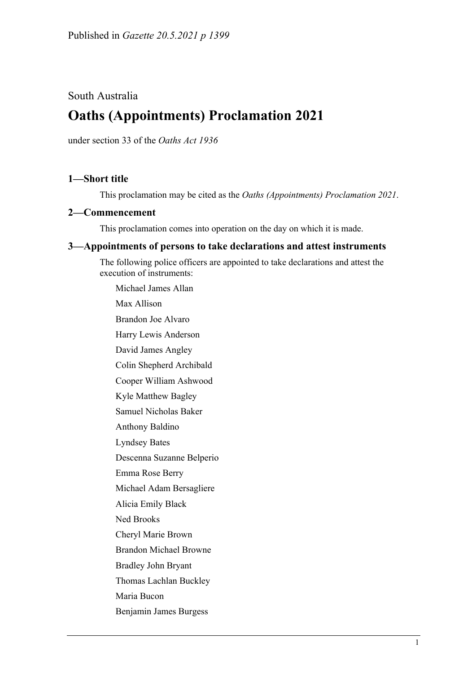## South Australia

# **Oaths (Appointments) Proclamation 2021**

under section 33 of the *Oaths Act 1936*

### **1—Short title**

This proclamation may be cited as the *Oaths (Appointments) Proclamation 2021*.

#### **2—Commencement**

This proclamation comes into operation on the day on which it is made.

#### **3—Appointments of persons to take declarations and attest instruments**

The following police officers are appointed to take declarations and attest the execution of instruments:

Michael James Allan Max Allison Brandon Joe Alvaro Harry Lewis Anderson David James Angley Colin Shepherd Archibald Cooper William Ashwood Kyle Matthew Bagley Samuel Nicholas Baker Anthony Baldino Lyndsey Bates Descenna Suzanne Belperio Emma Rose Berry Michael Adam Bersagliere Alicia Emily Black Ned Brooks Cheryl Marie Brown Brandon Michael Browne Bradley John Bryant Thomas Lachlan Buckley Maria Bucon Benjamin James Burgess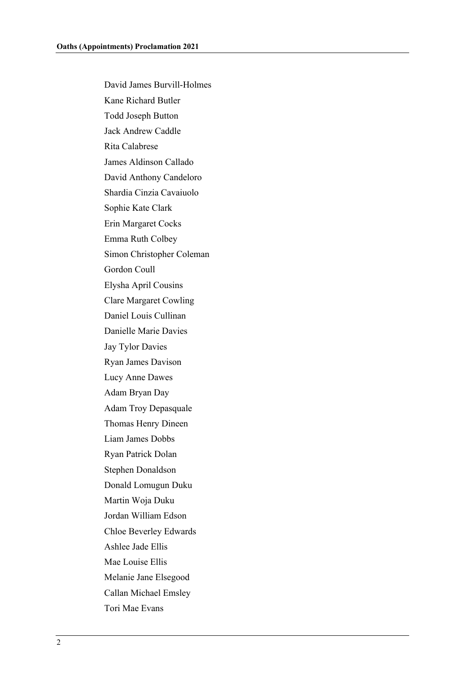David James Burvill-Holmes Kane Richard Butler Todd Joseph Button Jack Andrew Caddle Rita Calabrese James Aldinson Callado David Anthony Candeloro Shardia Cinzia Cavaiuolo Sophie Kate Clark Erin Margaret Cocks Emma Ruth Colbey Simon Christopher Coleman Gordon Coull Elysha April Cousins Clare Margaret Cowling Daniel Louis Cullinan Danielle Marie Davies Jay Tylor Davies Ryan James Davison Lucy Anne Dawes Adam Bryan Day Adam Troy Depasquale Thomas Henry Dineen Liam James Dobbs Ryan Patrick Dolan Stephen Donaldson Donald Lomugun Duku Martin Woja Duku Jordan William Edson Chloe Beverley Edwards Ashlee Jade Ellis Mae Louise Ellis Melanie Jane Elsegood Callan Michael Emsley Tori Mae Evans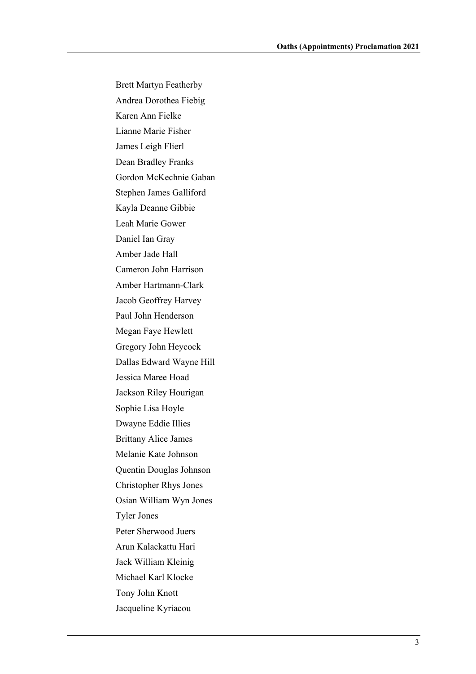Brett Martyn Featherby Andrea Dorothea Fiebig Karen Ann Fielke Lianne Marie Fisher James Leigh Flierl Dean Bradley Franks Gordon McKechnie Gaban Stephen James Galliford Kayla Deanne Gibbie Leah Marie Gower Daniel Ian Gray Amber Jade Hall Cameron John Harrison Amber Hartmann-Clark Jacob Geoffrey Harvey Paul John Henderson Megan Faye Hewlett Gregory John Heycock Dallas Edward Wayne Hill Jessica Maree Hoad Jackson Riley Hourigan Sophie Lisa Hoyle Dwayne Eddie Illies Brittany Alice James Melanie Kate Johnson Quentin Douglas Johnson Christopher Rhys Jones Osian William Wyn Jones Tyler Jones Peter Sherwood Juers Arun Kalackattu Hari Jack William Kleinig Michael Karl Klocke Tony John Knott Jacqueline Kyriacou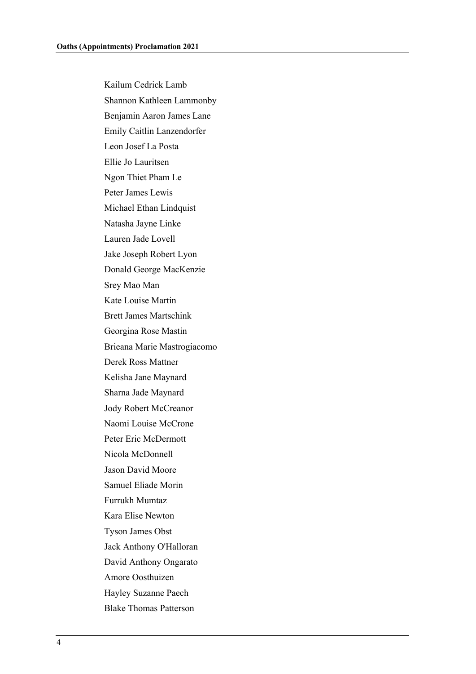Kailum Cedrick Lamb Shannon Kathleen Lammonby Benjamin Aaron James Lane Emily Caitlin Lanzendorfer Leon Josef La Posta Ellie Jo Lauritsen Ngon Thiet Pham Le Peter James Lewis Michael Ethan Lindquist Natasha Jayne Linke Lauren Jade Lovell Jake Joseph Robert Lyon Donald George MacKenzie Srey Mao Man Kate Louise Martin Brett James Martschink Georgina Rose Mastin Brieana Marie Mastrogiacomo Derek Ross Mattner Kelisha Jane Maynard Sharna Jade Maynard Jody Robert McCreanor Naomi Louise McCrone Peter Eric McDermott Nicola McDonnell Jason David Moore Samuel Eliade Morin Furrukh Mumtaz Kara Elise Newton Tyson James Obst Jack Anthony O'Halloran David Anthony Ongarato Amore Oosthuizen Hayley Suzanne Paech Blake Thomas Patterson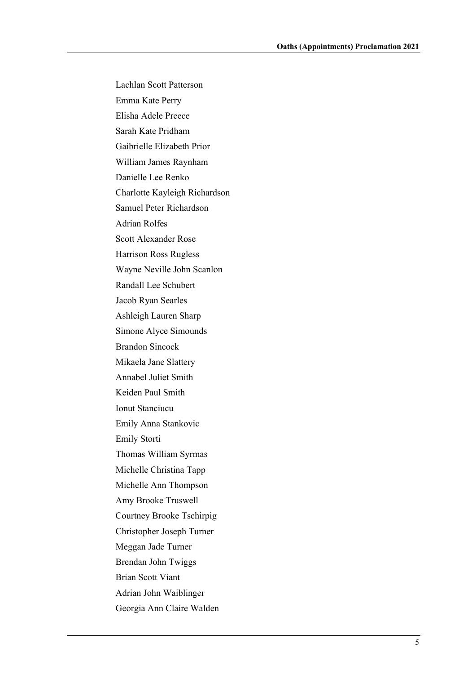Lachlan Scott Patterson Emma Kate Perry Elisha Adele Preece Sarah Kate Pridham Gaibrielle Elizabeth Prior William James Raynham Danielle Lee Renko Charlotte Kayleigh Richardson Samuel Peter Richardson Adrian Rolfes Scott Alexander Rose Harrison Ross Rugless Wayne Neville John Scanlon Randall Lee Schubert Jacob Ryan Searles Ashleigh Lauren Sharp Simone Alyce Simounds Brandon Sincock Mikaela Jane Slattery Annabel Juliet Smith Keiden Paul Smith Ionut Stanciucu Emily Anna Stankovic Emily Storti Thomas William Syrmas Michelle Christina Tapp Michelle Ann Thompson Amy Brooke Truswell Courtney Brooke Tschirpig Christopher Joseph Turner Meggan Jade Turner Brendan John Twiggs Brian Scott Viant Adrian John Waiblinger Georgia Ann Claire Walden